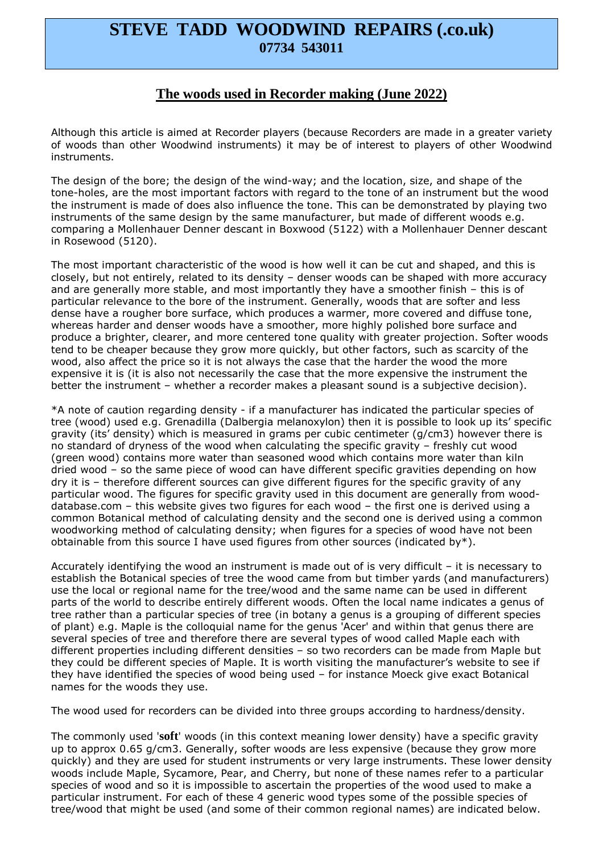## **STEVE TADD WOODWIND REPAIRS (.co.uk) 07734 543011**

## **The woods used in Recorder making (June 2022)**

Although this article is aimed at Recorder players (because Recorders are made in a greater variety of woods than other Woodwind instruments) it may be of interest to players of other Woodwind instruments.

The design of the bore; the design of the wind-way; and the location, size, and shape of the tone-holes, are the most important factors with regard to the tone of an instrument but the wood the instrument is made of does also influence the tone. This can be demonstrated by playing two instruments of the same design by the same manufacturer, but made of different woods e.g. comparing a Mollenhauer Denner descant in Boxwood (5122) with a Mollenhauer Denner descant in Rosewood (5120).

The most important characteristic of the wood is how well it can be cut and shaped, and this is closely, but not entirely, related to its density – denser woods can be shaped with more accuracy and are generally more stable, and most importantly they have a smoother finish – this is of particular relevance to the bore of the instrument. Generally, woods that are softer and less dense have a rougher bore surface, which produces a warmer, more covered and diffuse tone, whereas harder and denser woods have a smoother, more highly polished bore surface and produce a brighter, clearer, and more centered tone quality with greater projection. Softer woods tend to be cheaper because they grow more quickly, but other factors, such as scarcity of the wood, also affect the price so it is not always the case that the harder the wood the more expensive it is (it is also not necessarily the case that the more expensive the instrument the better the instrument – whether a recorder makes a pleasant sound is a subjective decision).

\*A note of caution regarding density - if a manufacturer has indicated the particular species of tree (wood) used e.g. Grenadilla (Dalbergia melanoxylon) then it is possible to look up its' specific gravity (its' density) which is measured in grams per cubic centimeter (g/cm3) however there is no standard of dryness of the wood when calculating the specific gravity – freshly cut wood (green wood) contains more water than seasoned wood which contains more water than kiln dried wood – so the same piece of wood can have different specific gravities depending on how dry it is – therefore different sources can give different figures for the specific gravity of any particular wood. The figures for specific gravity used in this document are generally from wooddatabase.com – this website gives two figures for each wood – the first one is derived using a common Botanical method of calculating density and the second one is derived using a common woodworking method of calculating density; when figures for a species of wood have not been obtainable from this source I have used figures from other sources (indicated by\*).

Accurately identifying the wood an instrument is made out of is very difficult – it is necessary to establish the Botanical species of tree the wood came from but timber yards (and manufacturers) use the local or regional name for the tree/wood and the same name can be used in different parts of the world to describe entirely different woods. Often the local name indicates a genus of tree rather than a particular species of tree (in botany a genus is a grouping of different species of plant) e.g. Maple is the colloquial name for the genus 'Acer' and within that genus there are several species of tree and therefore there are several types of wood called Maple each with different properties including different densities – so two recorders can be made from Maple but they could be different species of Maple. It is worth visiting the manufacturer's website to see if they have identified the species of wood being used – for instance Moeck give exact Botanical names for the woods they use.

The wood used for recorders can be divided into three groups according to hardness/density.

The commonly used '**soft**' woods (in this context meaning lower density) have a specific gravity up to approx 0.65 g/cm3. Generally, softer woods are less expensive (because they grow more quickly) and they are used for student instruments or very large instruments. These lower density woods include Maple, Sycamore, Pear, and Cherry, but none of these names refer to a particular species of wood and so it is impossible to ascertain the properties of the wood used to make a particular instrument. For each of these 4 generic wood types some of the possible species of tree/wood that might be used (and some of their common regional names) are indicated below.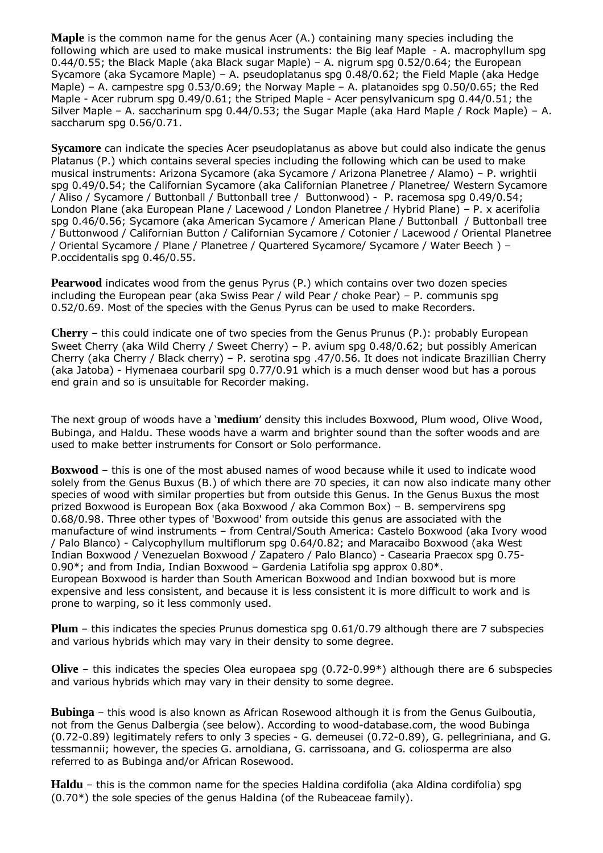**Maple** is the common name for the genus Acer (A.) containing many species including the following which are used to make musical instruments: the Big leaf Maple - A. macrophyllum spg 0.44/0.55; the Black Maple (aka Black sugar Maple) – A. nigrum spg 0.52/0.64; the European Sycamore (aka Sycamore Maple) – A. pseudoplatanus spg 0.48/0.62; the Field Maple (aka Hedge Maple) – A. campestre spg 0.53/0.69; the Norway Maple – A. platanoides spg 0.50/0.65; the Red Maple - Acer rubrum spg 0.49/0.61; the Striped Maple - Acer pensylvanicum spg 0.44/0.51; the Silver Maple – A. saccharinum spg 0.44/0.53; the Sugar Maple (aka Hard Maple / Rock Maple) – A. saccharum spg 0.56/0.71.

**Sycamore** can indicate the species Acer pseudoplatanus as above but could also indicate the genus Platanus (P.) which contains several species including the following which can be used to make musical instruments: Arizona Sycamore (aka Sycamore / Arizona Planetree / Alamo) – P. wrightii spg 0.49/0.54; the Californian Sycamore (aka Californian Planetree / Planetree/ Western Sycamore / Aliso / Sycamore / Buttonball / Buttonball tree / Buttonwood) - P. racemosa spg 0.49/0.54; London Plane (aka European Plane / Lacewood / London Planetree / Hybrid Plane) – P. x acerifolia spg 0.46/0.56; Sycamore (aka American Sycamore / American Plane / Buttonball / Buttonball tree / Buttonwood / Californian Button / Californian Sycamore / Cotonier / Lacewood / Oriental Planetree / Oriental Sycamore / Plane / Planetree / Quartered Sycamore/ Sycamore / Water Beech ) – P.occidentalis spg 0.46/0.55.

**Pearwood** indicates wood from the genus Pyrus (P.) which contains over two dozen species including the European pear (aka Swiss Pear / wild Pear / choke Pear) – P. communis spg 0.52/0.69. Most of the species with the Genus Pyrus can be used to make Recorders.

**Cherry** – this could indicate one of two species from the Genus Prunus (P.): probably European Sweet Cherry (aka Wild Cherry / Sweet Cherry) – P. avium spg 0.48/0.62; but possibly American Cherry (aka Cherry / Black cherry) – P. serotina spg .47/0.56. It does not indicate Brazillian Cherry (aka Jatoba) - Hymenaea courbaril spg 0.77/0.91 which is a much denser wood but has a porous end grain and so is unsuitable for Recorder making.

The next group of woods have a '**medium**' density this includes Boxwood, Plum wood, Olive Wood, Bubinga, and Haldu. These woods have a warm and brighter sound than the softer woods and are used to make better instruments for Consort or Solo performance.

**Boxwood** – this is one of the most abused names of wood because while it used to indicate wood solely from the Genus Buxus (B.) of which there are 70 species, it can now also indicate many other species of wood with similar properties but from outside this Genus. In the Genus Buxus the most prized Boxwood is European Box (aka Boxwood / aka Common Box) – B. sempervirens spg 0.68/0.98. Three other types of 'Boxwood' from outside this genus are associated with the manufacture of wind instruments – from Central/South America: Castelo Boxwood (aka Ivory wood / Palo Blanco) - Calycophyllum multiflorum spg 0.64/0.82; and Maracaibo Boxwood (aka West Indian Boxwood / Venezuelan Boxwood / Zapatero / Palo Blanco) - Casearia Praecox spg 0.75- 0.90\*; and from India, Indian Boxwood – Gardenia Latifolia spg approx 0.80\*. European Boxwood is harder than South American Boxwood and Indian boxwood but is more expensive and less consistent, and because it is less consistent it is more difficult to work and is prone to warping, so it less commonly used.

**Plum** – this indicates the species Prunus domestica spg 0.61/0.79 although there are 7 subspecies and various hybrids which may vary in their density to some degree.

**Olive** – this indicates the species Olea europaea spg (0.72-0.99\*) although there are 6 subspecies and various hybrids which may vary in their density to some degree.

**Bubinga** – this wood is also known as African Rosewood although it is from the Genus Guiboutia, not from the Genus Dalbergia (see below). According to wood-database.com, the wood Bubinga (0.72-0.89) legitimately refers to only 3 species - G. demeusei (0.72-0.89), G. pellegriniana, and G. tessmannii; however, the species G. arnoldiana, G. carrissoana, and G. coliosperma are also referred to as Bubinga and/or African Rosewood.

**Haldu** – this is the common name for the species Haldina cordifolia (aka Aldina cordifolia) spg (0.70\*) the sole species of the genus Haldina (of the Rubeaceae family).